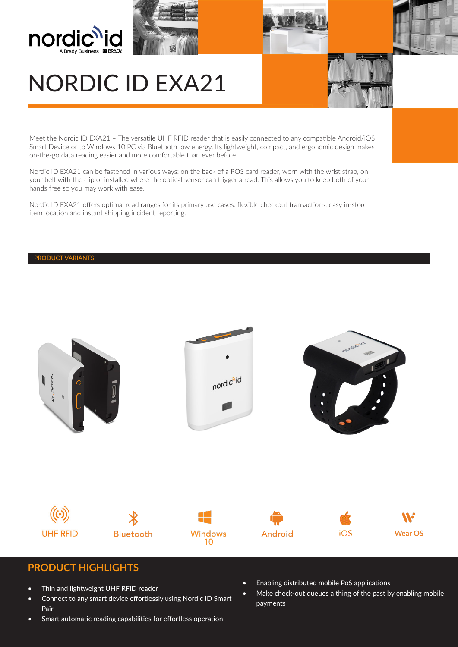





# NORDIC ID EXA21

Meet the Nordic ID EXA21 – The versatile UHF RFID reader that is easily connected to any compatible Android/iOS Smart Device or to Windows 10 PC via Bluetooth low energy. Its lightweight, compact, and ergonomic design makes on-the-go data reading easier and more comfortable than ever before.

Nordic ID EXA21 can be fastened in various ways: on the back of a POS card reader, worn with the wrist strap, on your belt with the clip or installed where the optical sensor can trigger a read. This allows you to keep both of your hands free so you may work with ease.

Nordic ID EXA21 offers optimal read ranges for its primary use cases: flexible checkout transactions, easy in-store item location and instant shipping incident reporting.

#### PRODUCT VARIANTS



### **PRODUCT HIGHLIGHTS**

- Thin and lightweight UHF RFID reader
- Connect to any smart device effortlessly using Nordic ID Smart Pair
- Smart automatic reading capabilities for effortless operation
- Enabling distributed mobile PoS applications
- Make check-out queues a thing of the past by enabling mobile payments